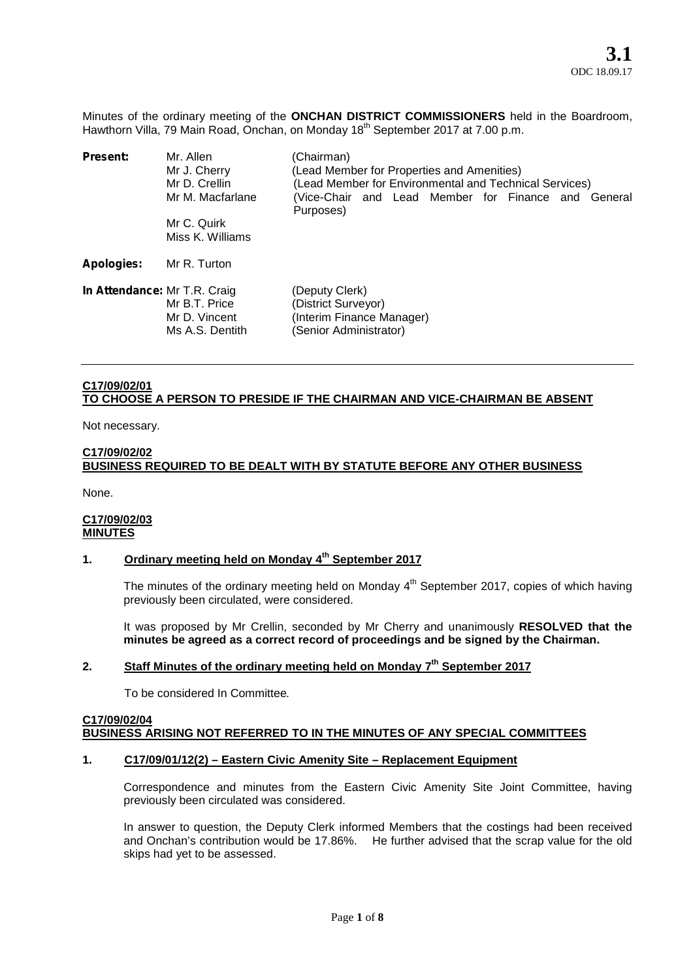Minutes of the ordinary meeting of the **ONCHAN DISTRICT COMMISSIONERS** held in the Boardroom, Hawthorn Villa, 79 Main Road, Onchan, on Monday 18<sup>th</sup> September 2017 at 7.00 p.m.

| Present:                     | Mr. Allen<br>Mr J. Cherry<br>Mr D. Crellin<br>Mr M. Macfarlane<br>Mr C. Quirk<br>Miss K. Williams | (Chairman)<br>(Lead Member for Properties and Amenities)<br>(Lead Member for Environmental and Technical Services)<br>(Vice-Chair and Lead Member for Finance and General<br>Purposes) |
|------------------------------|---------------------------------------------------------------------------------------------------|----------------------------------------------------------------------------------------------------------------------------------------------------------------------------------------|
| <b>Apologies:</b>            | Mr R. Turton                                                                                      |                                                                                                                                                                                        |
| In Attendance: Mr T.R. Craig | Mr B.T. Price<br>Mr D. Vincent<br>Ms A.S. Dentith                                                 | (Deputy Clerk)<br>(District Surveyor)<br>(Interim Finance Manager)<br>(Senior Administrator)                                                                                           |

# **C17/09/02/01 TO CHOOSE A PERSON TO PRESIDE IF THE CHAIRMAN AND VICE-CHAIRMAN BE ABSENT**

Not necessary.

#### **C17/09/02/02**

# **BUSINESS REQUIRED TO BE DEALT WITH BY STATUTE BEFORE ANY OTHER BUSINESS**

None.

## **C17/09/02/03 MINUTES**

# **1. Ordinary meeting held on Monday 4 th September 2017**

The minutes of the ordinary meeting held on Monday  $4^{\text{th}}$  September 2017, copies of which having previously been circulated, were considered.

It was proposed by Mr Crellin, seconded by Mr Cherry and unanimously **RESOLVED that the minutes be agreed as a correct record of proceedings and be signed by the Chairman.**

# **2. Staff Minutes of the ordinary meeting held on Monday 7 th September 2017**

To be considered In Committee*.*

#### **C17/09/02/04 BUSINESS ARISING NOT REFERRED TO IN THE MINUTES OF ANY SPECIAL COMMITTEES**

## **1. C17/09/01/12(2) – Eastern Civic Amenity Site – Replacement Equipment**

Correspondence and minutes from the Eastern Civic Amenity Site Joint Committee, having previously been circulated was considered.

In answer to question, the Deputy Clerk informed Members that the costings had been received and Onchan's contribution would be 17.86%. He further advised that the scrap value for the old skips had yet to be assessed.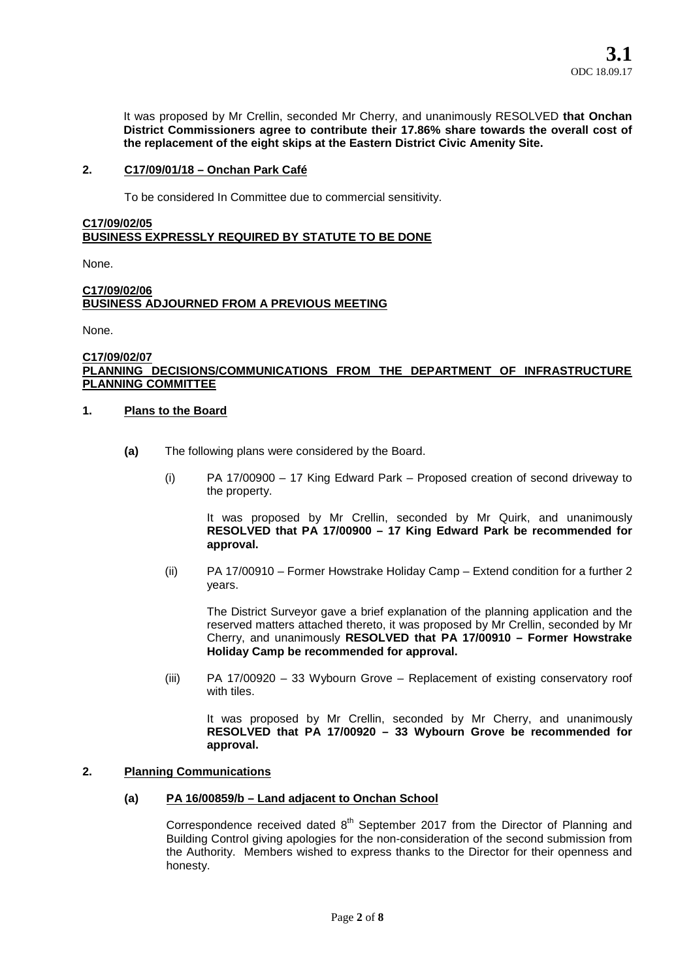It was proposed by Mr Crellin, seconded Mr Cherry, and unanimously RESOLVED **that Onchan District Commissioners agree to contribute their 17.86% share towards the overall cost of the replacement of the eight skips at the Eastern District Civic Amenity Site.**

# **2. C17/09/01/18 – Onchan Park Café**

To be considered In Committee due to commercial sensitivity.

# **C17/09/02/05 BUSINESS EXPRESSLY REQUIRED BY STATUTE TO BE DONE**

None.

## **C17/09/02/06 BUSINESS ADJOURNED FROM A PREVIOUS MEETING**

None.

#### **C17/09/02/07 PLANNING DECISIONS/COMMUNICATIONS FROM THE DEPARTMENT OF INFRASTRUCTURE PLANNING COMMITTEE**

## **1. Plans to the Board**

- **(a)** The following plans were considered by the Board.
	- (i) PA 17/00900 17 King Edward Park Proposed creation of second driveway to the property.

It was proposed by Mr Crellin, seconded by Mr Quirk, and unanimously **RESOLVED that PA 17/00900 – 17 King Edward Park be recommended for approval.**

(ii) PA 17/00910 – Former Howstrake Holiday Camp – Extend condition for a further 2 years.

The District Surveyor gave a brief explanation of the planning application and the reserved matters attached thereto, it was proposed by Mr Crellin, seconded by Mr Cherry, and unanimously **RESOLVED that PA 17/00910 – Former Howstrake Holiday Camp be recommended for approval.**

(iii) PA 17/00920 – 33 Wybourn Grove – Replacement of existing conservatory roof with tiles.

It was proposed by Mr Crellin, seconded by Mr Cherry, and unanimously **RESOLVED that PA 17/00920 – 33 Wybourn Grove be recommended for approval.**

## **2. Planning Communications**

# **(a) PA 16/00859/b – Land adjacent to Onchan School**

Correspondence received dated  $8<sup>th</sup>$  September 2017 from the Director of Planning and Building Control giving apologies for the non-consideration of the second submission from the Authority. Members wished to express thanks to the Director for their openness and honesty.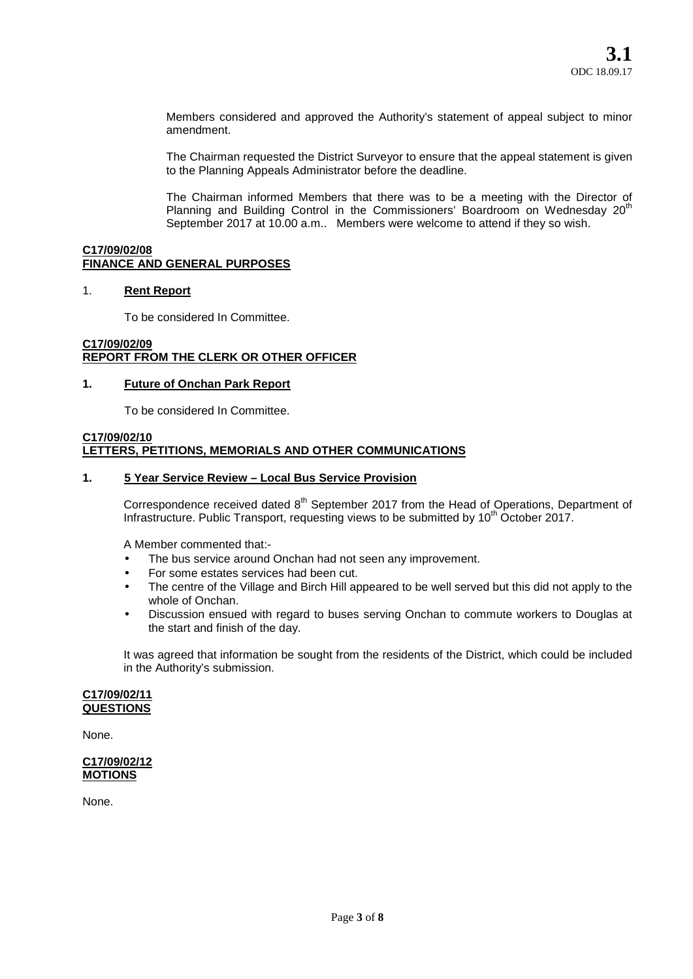Members considered and approved the Authority's statement of appeal subject to minor amendment.

The Chairman requested the District Surveyor to ensure that the appeal statement is given to the Planning Appeals Administrator before the deadline.

The Chairman informed Members that there was to be a meeting with the Director of Planning and Building Control in the Commissioners' Boardroom on Wednesday  $20<sup>th</sup>$ September 2017 at 10.00 a.m.. Members were welcome to attend if they so wish.

## **C17/09/02/08 FINANCE AND GENERAL PURPOSES**

## 1. **Rent Report**

To be considered In Committee.

## **C17/09/02/09 REPORT FROM THE CLERK OR OTHER OFFICER**

## **1. Future of Onchan Park Report**

To be considered In Committee.

#### **C17/09/02/10 LETTERS, PETITIONS, MEMORIALS AND OTHER COMMUNICATIONS**

## **1. 5 Year Service Review – Local Bus Service Provision**

Correspondence received dated 8<sup>th</sup> September 2017 from the Head of Operations, Department of Infrastructure. Public Transport, requesting views to be submitted by 10<sup>th</sup> October 2017.

A Member commented that:-

- The bus service around Onchan had not seen any improvement.
- For some estates services had been cut.
- The centre of the Village and Birch Hill appeared to be well served but this did not apply to the whole of Onchan.
- Discussion ensued with regard to buses serving Onchan to commute workers to Douglas at the start and finish of the day.

It was agreed that information be sought from the residents of the District, which could be included in the Authority's submission.

#### **C17/09/02/11 QUESTIONS**

None.

## **C17/09/02/12 MOTIONS**

None.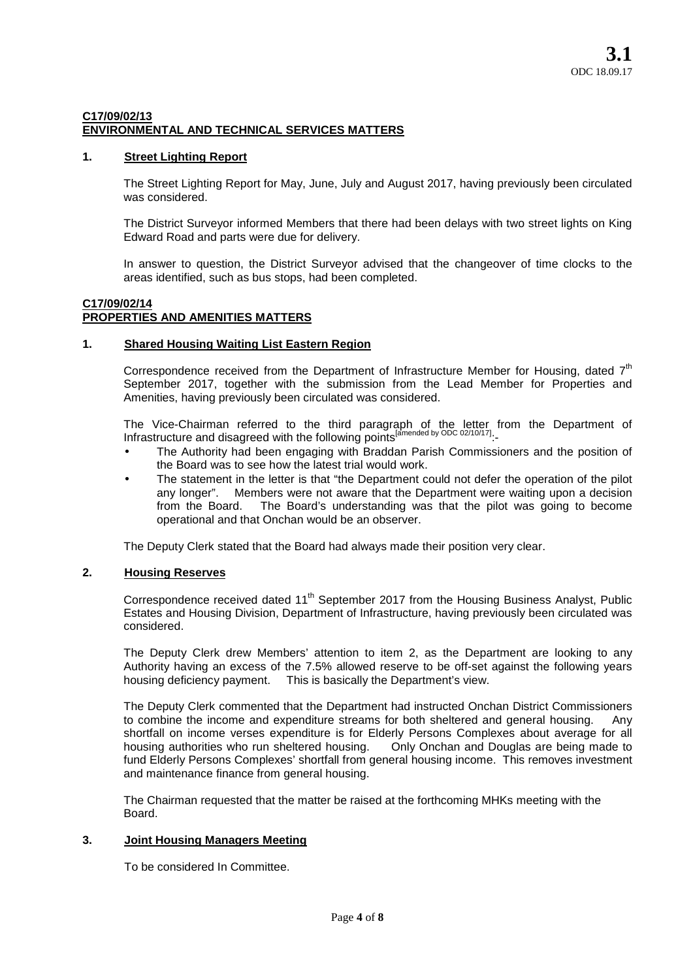# **C17/09/02/13 ENVIRONMENTAL AND TECHNICAL SERVICES MATTERS**

# **1. Street Lighting Report**

The Street Lighting Report for May, June, July and August 2017, having previously been circulated was considered.

The District Surveyor informed Members that there had been delays with two street lights on King Edward Road and parts were due for delivery.

In answer to question, the District Surveyor advised that the changeover of time clocks to the areas identified, such as bus stops, had been completed.

## **C17/09/02/14 PROPERTIES AND AMENITIES MATTERS**

## **1. Shared Housing Waiting List Eastern Region**

Correspondence received from the Department of Infrastructure Member for Housing, dated  $7<sup>th</sup>$ September 2017, together with the submission from the Lead Member for Properties and Amenities, having previously been circulated was considered.

The Vice-Chairman referred to the third paragraph of the letter from the Department of Infrastructure and disagreed with the following points<sup>[amended by ODC 02/10/17]</sup>:

- The Authority had been engaging with Braddan Parish Commissioners and the position of the Board was to see how the latest trial would work.
- The statement in the letter is that "the Department could not defer the operation of the pilot any longer". Members were not aware that the Department were waiting upon a decision The Board's understanding was that the pilot was going to become operational and that Onchan would be an observer.

The Deputy Clerk stated that the Board had always made their position very clear.

# **2. Housing Reserves**

Correspondence received dated 11<sup>th</sup> September 2017 from the Housing Business Analyst, Public Estates and Housing Division, Department of Infrastructure, having previously been circulated was considered.

The Deputy Clerk drew Members' attention to item 2, as the Department are looking to any Authority having an excess of the 7.5% allowed reserve to be off-set against the following years housing deficiency payment. This is basically the Department's view.

The Deputy Clerk commented that the Department had instructed Onchan District Commissioners to combine the income and expenditure streams for both sheltered and general housing. Any shortfall on income verses expenditure is for Elderly Persons Complexes about average for all<br>housing authorities who run sheltered housing. Only Onchan and Douglas are being made to housing authorities who run sheltered housing. fund Elderly Persons Complexes' shortfall from general housing income. This removes investment and maintenance finance from general housing.

The Chairman requested that the matter be raised at the forthcoming MHKs meeting with the Board.

# **3. Joint Housing Managers Meeting**

To be considered In Committee.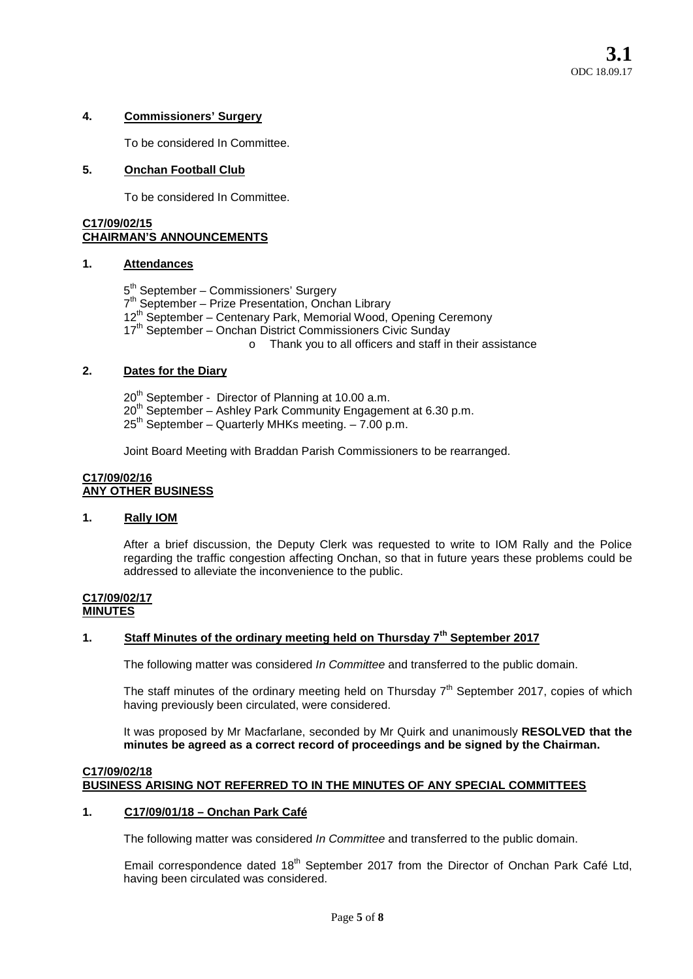# **4. Commissioners' Surgery**

To be considered In Committee.

## **5. Onchan Football Club**

To be considered In Committee.

# **C17/09/02/15 CHAIRMAN'S ANNOUNCEMENTS**

## **1. Attendances**

5 th September – Commissioners' Surgery 7 th September – Prize Presentation, Onchan Library 12<sup>th</sup> September – Centenary Park, Memorial Wood, Opening Ceremony 17<sup>th</sup> September – Onchan District Commissioners Civic Sunday o Thank you to all officers and staff in their assistance

# **2. Dates for the Diary**

 $20<sup>th</sup>$  September - Director of Planning at 10.00 a.m. 20<sup>th</sup> September – Ashley Park Community Engagement at 6.30 p.m.  $25<sup>th</sup>$  September – Quarterly MHKs meeting. – 7.00 p.m.

Joint Board Meeting with Braddan Parish Commissioners to be rearranged.

## **C17/09/02/16 ANY OTHER BUSINESS**

# **1. Rally IOM**

After a brief discussion, the Deputy Clerk was requested to write to IOM Rally and the Police regarding the traffic congestion affecting Onchan, so that in future years these problems could be addressed to alleviate the inconvenience to the public.

#### **C17/09/02/17 MINUTES**

# **1. Staff Minutes of the ordinary meeting held on Thursday 7th September 2017**

The following matter was considered *In Committee* and transferred to the public domain.

The staff minutes of the ordinary meeting held on Thursday  $7<sup>th</sup>$  September 2017, copies of which having previously been circulated, were considered.

It was proposed by Mr Macfarlane, seconded by Mr Quirk and unanimously **RESOLVED that the minutes be agreed as a correct record of proceedings and be signed by the Chairman.**

## **C17/09/02/18 BUSINESS ARISING NOT REFERRED TO IN THE MINUTES OF ANY SPECIAL COMMITTEES**

## **1. C17/09/01/18 – Onchan Park Café**

The following matter was considered *In Committee* and transferred to the public domain.

Email correspondence dated 18<sup>th</sup> September 2017 from the Director of Onchan Park Café Ltd, having been circulated was considered.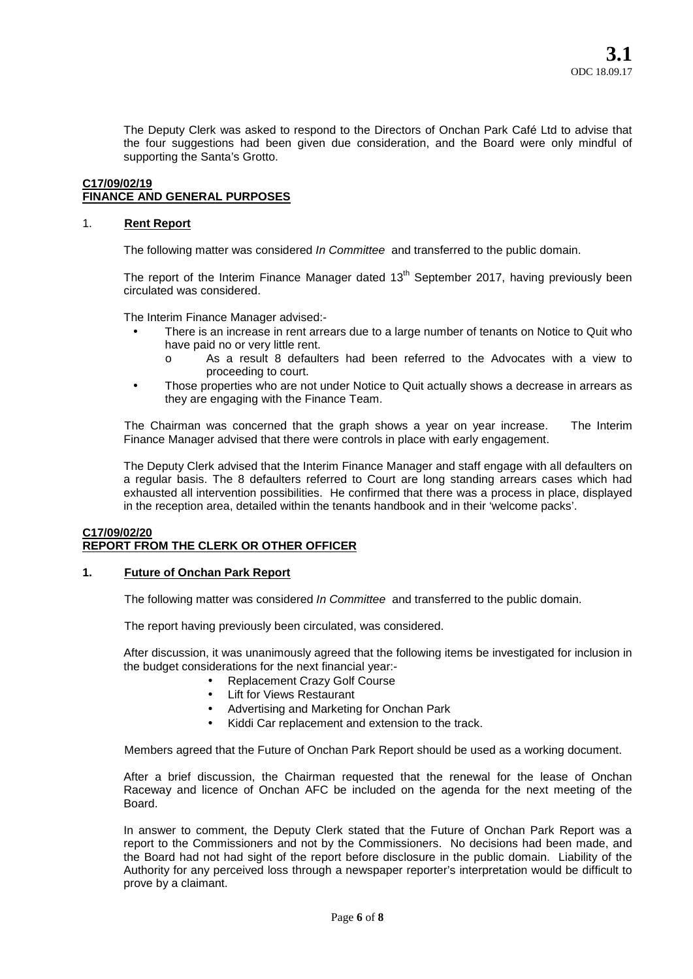The Deputy Clerk was asked to respond to the Directors of Onchan Park Café Ltd to advise that the four suggestions had been given due consideration, and the Board were only mindful of supporting the Santa's Grotto.

# **C17/09/02/19 FINANCE AND GENERAL PURPOSES**

# 1. **Rent Report**

The following matter was considered *In Committee* and transferred to the public domain.

The report of the Interim Finance Manager dated  $13<sup>th</sup>$  September 2017, having previously been circulated was considered.

The Interim Finance Manager advised:-

- There is an increase in rent arrears due to a large number of tenants on Notice to Quit who have paid no or very little rent.
	- o As a result 8 defaulters had been referred to the Advocates with a view to proceeding to court.
- Those properties who are not under Notice to Quit actually shows a decrease in arrears as they are engaging with the Finance Team.

The Chairman was concerned that the graph shows a year on year increase. The Interim Finance Manager advised that there were controls in place with early engagement.

The Deputy Clerk advised that the Interim Finance Manager and staff engage with all defaulters on a regular basis. The 8 defaulters referred to Court are long standing arrears cases which had exhausted all intervention possibilities. He confirmed that there was a process in place, displayed in the reception area, detailed within the tenants handbook and in their 'welcome packs'.

# **C17/09/02/20 REPORT FROM THE CLERK OR OTHER OFFICER**

## **1. Future of Onchan Park Report**

The following matter was considered *In Committee* and transferred to the public domain.

The report having previously been circulated, was considered.

After discussion, it was unanimously agreed that the following items be investigated for inclusion in the budget considerations for the next financial year:-

- Replacement Crazy Golf Course
- Lift for Views Restaurant
- Advertising and Marketing for Onchan Park
- Kiddi Car replacement and extension to the track.

Members agreed that the Future of Onchan Park Report should be used as a working document.

After a brief discussion, the Chairman requested that the renewal for the lease of Onchan Raceway and licence of Onchan AFC be included on the agenda for the next meeting of the Board.

In answer to comment, the Deputy Clerk stated that the Future of Onchan Park Report was a report to the Commissioners and not by the Commissioners. No decisions had been made, and the Board had not had sight of the report before disclosure in the public domain. Liability of the Authority for any perceived loss through a newspaper reporter's interpretation would be difficult to prove by a claimant.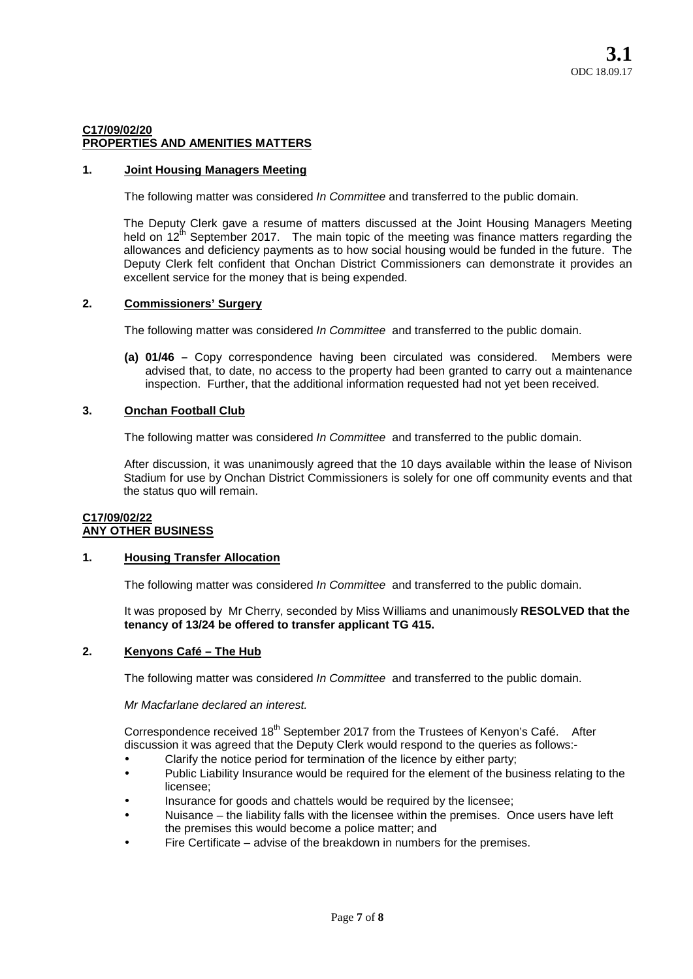## **C17/09/02/20 PROPERTIES AND AMENITIES MATTERS**

# **1. Joint Housing Managers Meeting**

The following matter was considered *In Committee* and transferred to the public domain.

The Deputy Clerk gave a resume of matters discussed at the Joint Housing Managers Meeting held on  $12^{th}$  September 2017. The main topic of the meeting was finance matters regarding the allowances and deficiency payments as to how social housing would be funded in the future. The Deputy Clerk felt confident that Onchan District Commissioners can demonstrate it provides an excellent service for the money that is being expended.

## **2. Commissioners' Surgery**

The following matter was considered *In Committee* and transferred to the public domain.

**(a) 01/46 –** Copy correspondence having been circulated was considered. Members were advised that, to date, no access to the property had been granted to carry out a maintenance inspection. Further, that the additional information requested had not yet been received.

## **3. Onchan Football Club**

The following matter was considered *In Committee* and transferred to the public domain.

After discussion, it was unanimously agreed that the 10 days available within the lease of Nivison Stadium for use by Onchan District Commissioners is solely for one off community events and that the status quo will remain.

# **C17/09/02/22 ANY OTHER BUSINESS**

## **1. Housing Transfer Allocation**

The following matter was considered *In Committee* and transferred to the public domain.

It was proposed by Mr Cherry, seconded by Miss Williams and unanimously **RESOLVED that the tenancy of 13/24 be offered to transfer applicant TG 415.**

## **2. Kenyons Café – The Hub**

The following matter was considered *In Committee* and transferred to the public domain.

## *Mr Macfarlane declared an interest.*

Correspondence received 18<sup>th</sup> September 2017 from the Trustees of Kenyon's Café. After discussion it was agreed that the Deputy Clerk would respond to the queries as follows:-

- Clarify the notice period for termination of the licence by either party;
- Public Liability Insurance would be required for the element of the business relating to the licensee;
- Insurance for goods and chattels would be required by the licensee;
- Nuisance the liability falls with the licensee within the premises. Once users have left the premises this would become a police matter; and
- Fire Certificate advise of the breakdown in numbers for the premises.